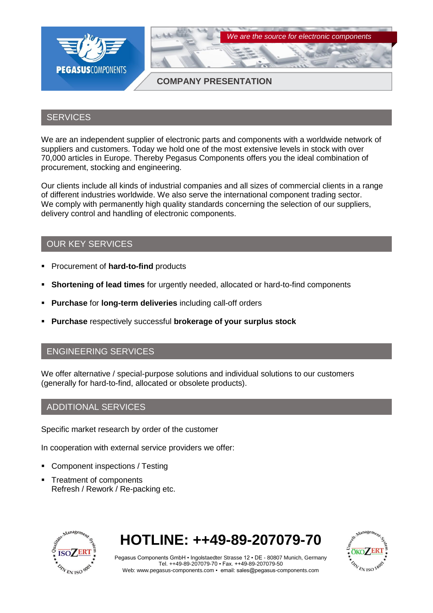

### **SERVICES**

We are an independent supplier of electronic parts and components with a worldwide network of suppliers and customers. Today we hold one of the most extensive levels in stock with over 70,000 articles in Europe. Thereby Pegasus Components offers you the ideal combination of procurement, stocking and engineering.

Our clients include all kinds of industrial companies and all sizes of commercial clients in a range of different industries worldwide. We also serve the international component trading sector. We comply with permanently high quality standards concerning the selection of our suppliers, delivery control and handling of electronic components.

# OUR KEY SERVICES

- **Procurement of hard-to-find products**
- **Shortening of lead times** for urgently needed, allocated or hard-to-find components
- **Purchase** for **long-term deliveries** including call-off orders
- **Purchase** respectively successful **brokerage of your surplus stock**

### ENGINEERING SERVICES

We offer alternative / special-purpose solutions and individual solutions to our customers (generally for hard-to-find, allocated or obsolete products).

### ADDITIONAL SERVICES

Specific market research by order of the customer

In cooperation with external service providers we offer:

- Component inspections / Testing
- Treatment of components Refresh / Rework / Re-packing etc.



# **HOTLINE: ++49-89-207079-70**



Pegasus Components GmbH ▪ Ingolstaedter Strasse 12 ▪ DE - 80807 Munich, Germany Tel. ++49-89-207079-70 ▪ Fax. ++49-89-207079-50 Web: www.pegasus-components.com ▪ email: sales@pegasus-components.com